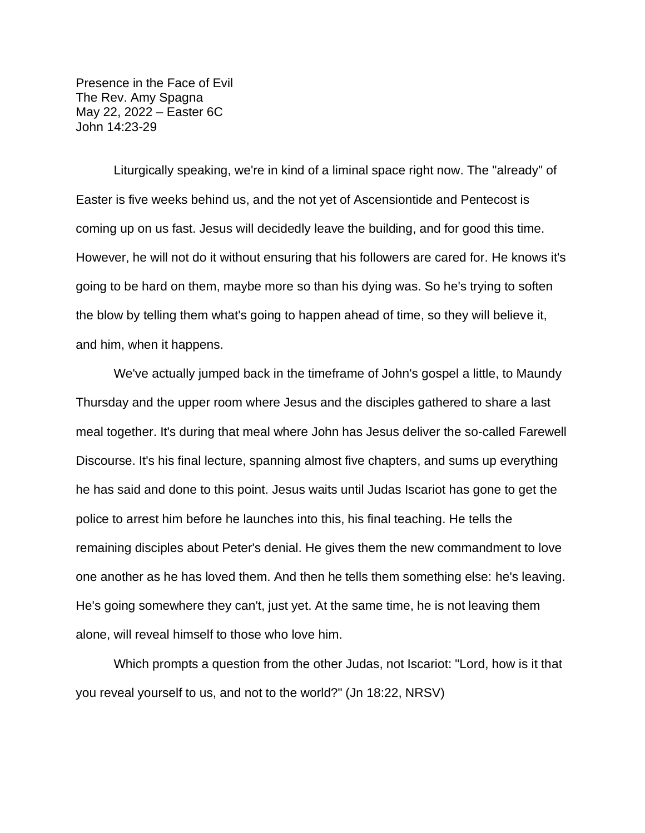Presence in the Face of Evil The Rev. Amy Spagna May 22, 2022 – Easter 6C John 14:23-29

Liturgically speaking, we're in kind of a liminal space right now. The "already" of Easter is five weeks behind us, and the not yet of Ascensiontide and Pentecost is coming up on us fast. Jesus will decidedly leave the building, and for good this time. However, he will not do it without ensuring that his followers are cared for. He knows it's going to be hard on them, maybe more so than his dying was. So he's trying to soften the blow by telling them what's going to happen ahead of time, so they will believe it, and him, when it happens.

We've actually jumped back in the timeframe of John's gospel a little, to Maundy Thursday and the upper room where Jesus and the disciples gathered to share a last meal together. It's during that meal where John has Jesus deliver the so-called Farewell Discourse. It's his final lecture, spanning almost five chapters, and sums up everything he has said and done to this point. Jesus waits until Judas Iscariot has gone to get the police to arrest him before he launches into this, his final teaching. He tells the remaining disciples about Peter's denial. He gives them the new commandment to love one another as he has loved them. And then he tells them something else: he's leaving. He's going somewhere they can't, just yet. At the same time, he is not leaving them alone, will reveal himself to those who love him.

Which prompts a question from the other Judas, not Iscariot: "Lord, how is it that you reveal yourself to us, and not to the world?" (Jn 18:22, NRSV)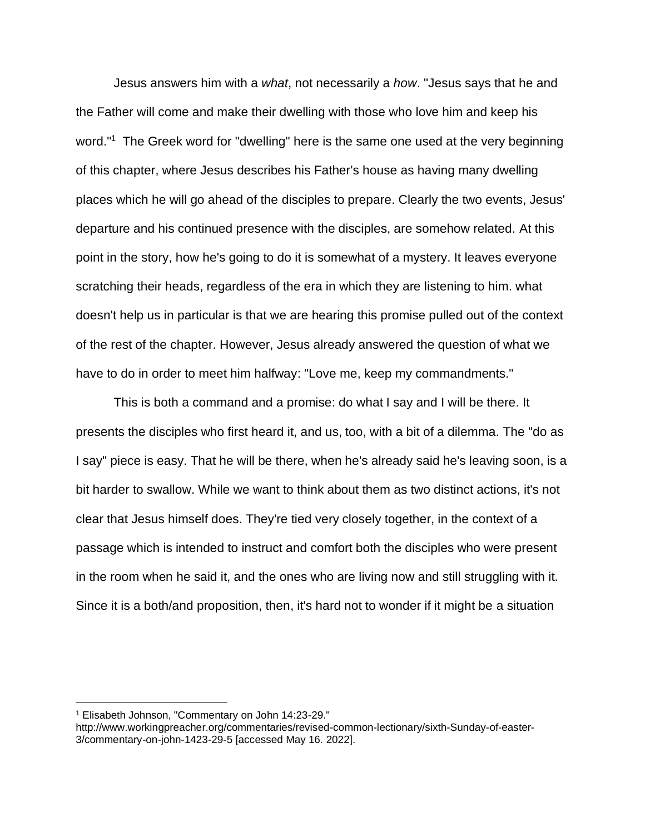Jesus answers him with a *what*, not necessarily a *how*. "Jesus says that he and the Father will come and make their dwelling with those who love him and keep his word."<sup>1</sup> The Greek word for "dwelling" here is the same one used at the very beginning of this chapter, where Jesus describes his Father's house as having many dwelling places which he will go ahead of the disciples to prepare. Clearly the two events, Jesus' departure and his continued presence with the disciples, are somehow related. At this point in the story, how he's going to do it is somewhat of a mystery. It leaves everyone scratching their heads, regardless of the era in which they are listening to him. what doesn't help us in particular is that we are hearing this promise pulled out of the context of the rest of the chapter. However, Jesus already answered the question of what we have to do in order to meet him halfway: "Love me, keep my commandments."

This is both a command and a promise: do what I say and I will be there. It presents the disciples who first heard it, and us, too, with a bit of a dilemma. The "do as I say" piece is easy. That he will be there, when he's already said he's leaving soon, is a bit harder to swallow. While we want to think about them as two distinct actions, it's not clear that Jesus himself does. They're tied very closely together, in the context of a passage which is intended to instruct and comfort both the disciples who were present in the room when he said it, and the ones who are living now and still struggling with it. Since it is a both/and proposition, then, it's hard not to wonder if it might be a situation

<sup>1</sup> Elisabeth Johnson, "Commentary on John 14:23-29."

http://www.workingpreacher.org/commentaries/revised-common-lectionary/sixth-Sunday-of-easter-3/commentary-on-john-1423-29-5 [accessed May 16. 2022].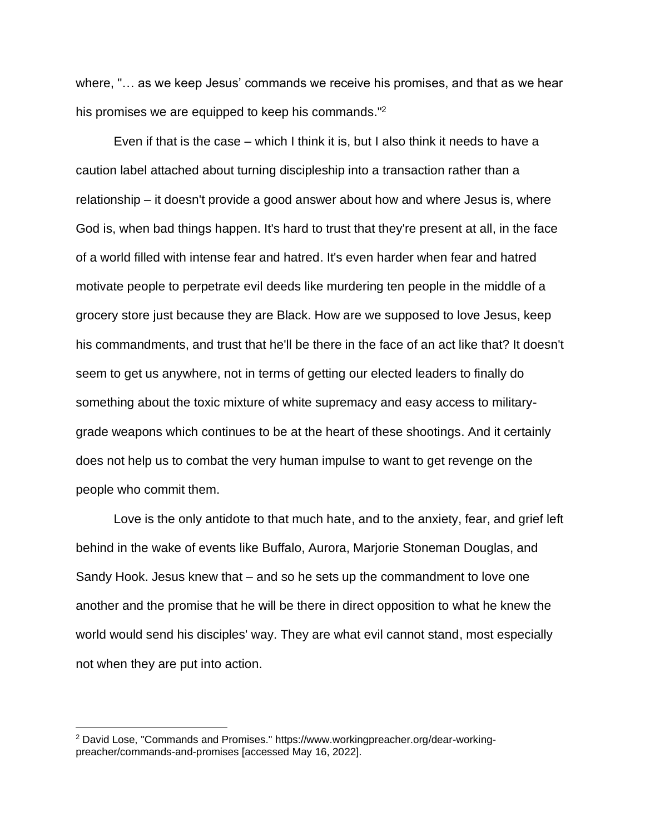where, "… as we keep Jesus' commands we receive his promises, and that as we hear his promises we are equipped to keep his commands."<sup>2</sup>

Even if that is the case – which I think it is, but I also think it needs to have a caution label attached about turning discipleship into a transaction rather than a relationship – it doesn't provide a good answer about how and where Jesus is, where God is, when bad things happen. It's hard to trust that they're present at all, in the face of a world filled with intense fear and hatred. It's even harder when fear and hatred motivate people to perpetrate evil deeds like murdering ten people in the middle of a grocery store just because they are Black. How are we supposed to love Jesus, keep his commandments, and trust that he'll be there in the face of an act like that? It doesn't seem to get us anywhere, not in terms of getting our elected leaders to finally do something about the toxic mixture of white supremacy and easy access to militarygrade weapons which continues to be at the heart of these shootings. And it certainly does not help us to combat the very human impulse to want to get revenge on the people who commit them.

Love is the only antidote to that much hate, and to the anxiety, fear, and grief left behind in the wake of events like Buffalo, Aurora, Marjorie Stoneman Douglas, and Sandy Hook. Jesus knew that – and so he sets up the commandment to love one another and the promise that he will be there in direct opposition to what he knew the world would send his disciples' way. They are what evil cannot stand, most especially not when they are put into action.

<sup>2</sup> David Lose, "Commands and Promises." https://www.workingpreacher.org/dear-workingpreacher/commands-and-promises [accessed May 16, 2022].